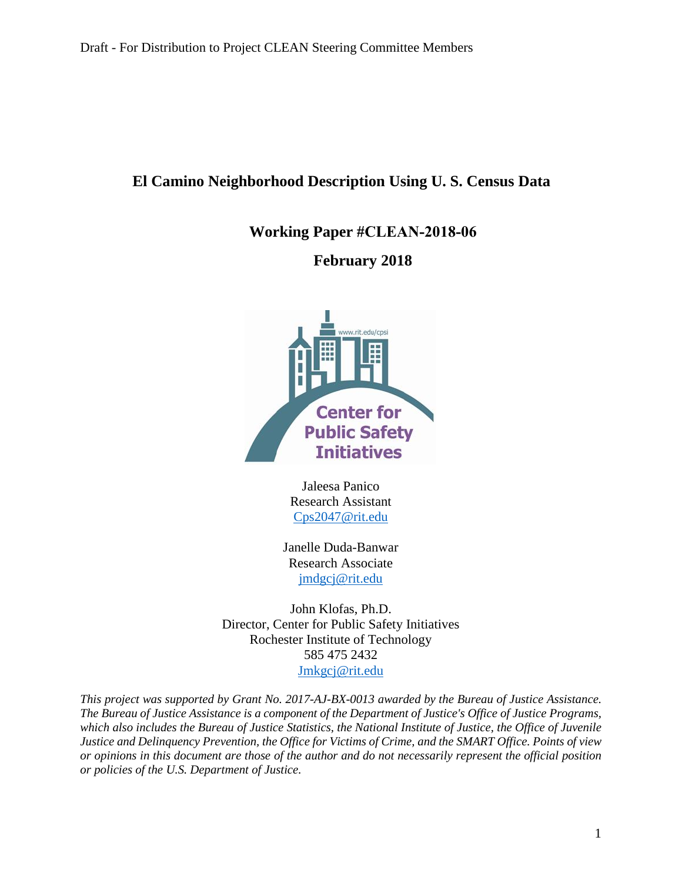# **El Camino Neighborhood Description Using U. S. Census Data**

**Working Paper #CLEAN-2018-06**

# **February 2018**



Jaleesa Panico Research Assistant [Cps2047@rit.edu](mailto:Cps2047@rit.edu) 

Janelle Duda-Banwar Research Associate [jmdgcj@rit.edu](mailto:jmdgcj@rit.edu)

John Klofas, Ph.D. Director, Center for Public Safety Initiatives Rochester Institute of Technology 585 475 2432 [Jmkgcj@rit.edu](mailto:Jmkgcj@rit.edu)

*This project was supported by Grant No. 2017-AJ-BX-0013 awarded by the Bureau of Justice Assistance.* The Bureau of Justice Assistance is a component of the Department of Justice's Office of Justice Programs, which also includes the Bureau of Justice Statistics, the National Institute of Justice, the Office of Juvenile *Justice and Delinquency Prevention, the Office for Victims of Crime, and the SMART Office. Points of view* or opinions in this document are those of the author and do not necessarily represent the official position *or policies of the U.S. Department of Justice.*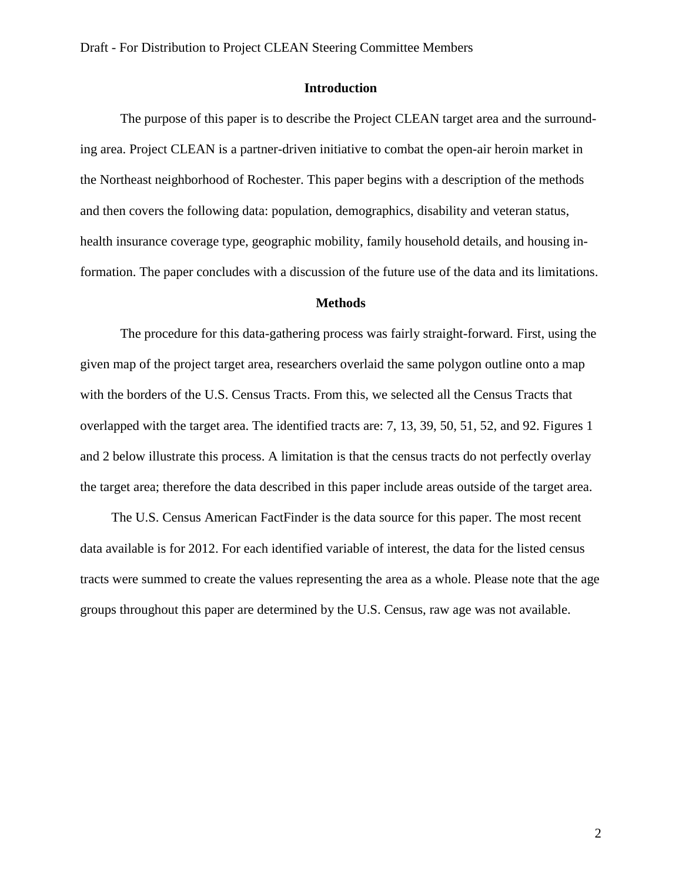#### **Introduction**

The purpose of this paper is to describe the Project CLEAN target area and the surrounding area. Project CLEAN is a partner-driven initiative to combat the open-air heroin market in the Northeast neighborhood of Rochester. This paper begins with a description of the methods and then covers the following data: population, demographics, disability and veteran status, health insurance coverage type, geographic mobility, family household details, and housing information. The paper concludes with a discussion of the future use of the data and its limitations.

#### **Methods**

The procedure for this data-gathering process was fairly straight-forward. First, using the given map of the project target area, researchers overlaid the same polygon outline onto a map with the borders of the U.S. Census Tracts. From this, we selected all the Census Tracts that overlapped with the target area. The identified tracts are: 7, 13, 39, 50, 51, 52, and 92. Figures 1 and 2 below illustrate this process. A limitation is that the census tracts do not perfectly overlay the target area; therefore the data described in this paper include areas outside of the target area.

The U.S. Census American FactFinder is the data source for this paper. The most recent data available is for 2012. For each identified variable of interest, the data for the listed census tracts were summed to create the values representing the area as a whole. Please note that the age groups throughout this paper are determined by the U.S. Census, raw age was not available.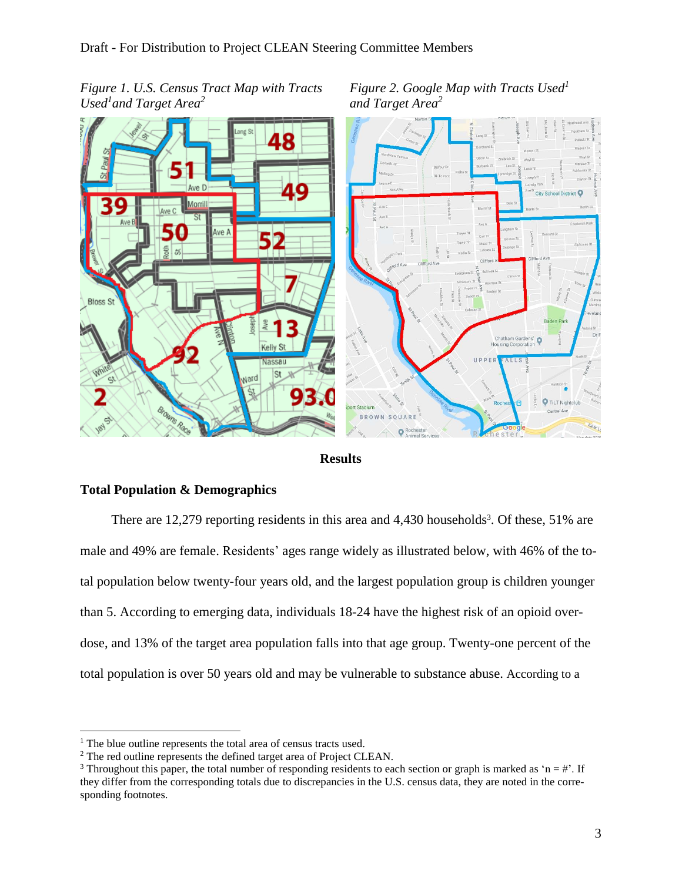*Used<sup>1</sup> and Target Area<sup>2</sup>*

*Figure 1. U.S. Census Tract Map with Tracts Figure 2. Google Map with Tracts Used<sup>1</sup> and Target Area<sup>2</sup>*





# **Total Population & Demographics**

There are 12,279 reporting residents in this area and 4,430 households<sup>3</sup>. Of these, 51% are male and 49% are female. Residents' ages range widely as illustrated below, with 46% of the total population below twenty-four years old, and the largest population group is children younger than 5. According to emerging data, individuals 18-24 have the highest risk of an opioid overdose, and 13% of the target area population falls into that age group. Twenty-one percent of the total population is over 50 years old and may be vulnerable to substance abuse. According to a

 $\overline{a}$ 

<sup>&</sup>lt;sup>1</sup> The blue outline represents the total area of census tracts used.

<sup>2</sup> The red outline represents the defined target area of Project CLEAN.

<sup>&</sup>lt;sup>3</sup> Throughout this paper, the total number of responding residents to each section or graph is marked as 'n = #'. If they differ from the corresponding totals due to discrepancies in the U.S. census data, they are noted in the corresponding footnotes.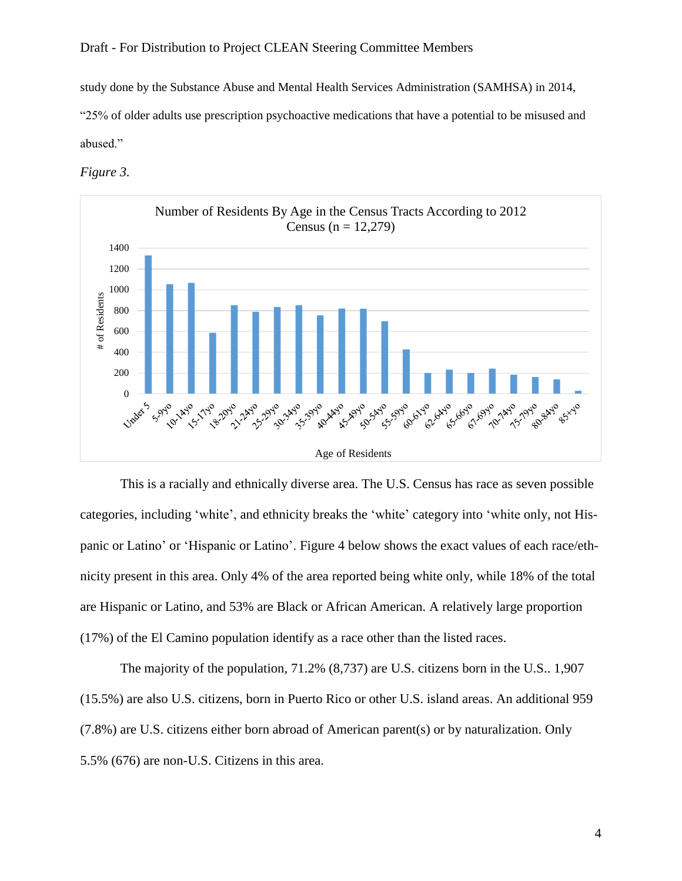study done by the Substance Abuse and Mental Health Services Administration (SAMHSA) in 2014,

"25% of older adults use prescription psychoactive medications that have a potential to be misused and abused."

*Figure 3.*



This is a racially and ethnically diverse area. The U.S. Census has race as seven possible categories, including 'white', and ethnicity breaks the 'white' category into 'white only, not Hispanic or Latino' or 'Hispanic or Latino'. Figure 4 below shows the exact values of each race/ethnicity present in this area. Only 4% of the area reported being white only, while 18% of the total are Hispanic or Latino, and 53% are Black or African American. A relatively large proportion (17%) of the El Camino population identify as a race other than the listed races.

The majority of the population, 71.2% (8,737) are U.S. citizens born in the U.S.. 1,907 (15.5%) are also U.S. citizens, born in Puerto Rico or other U.S. island areas. An additional 959 (7.8%) are U.S. citizens either born abroad of American parent(s) or by naturalization. Only 5.5% (676) are non-U.S. Citizens in this area.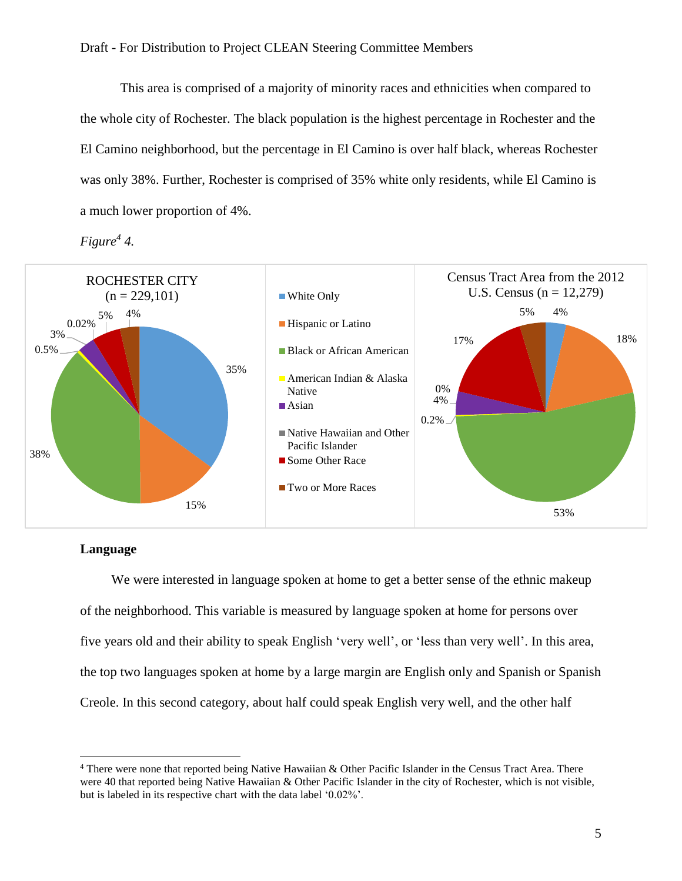This area is comprised of a majority of minority races and ethnicities when compared to the whole city of Rochester. The black population is the highest percentage in Rochester and the El Camino neighborhood, but the percentage in El Camino is over half black, whereas Rochester was only 38%. Further, Rochester is comprised of 35% white only residents, while El Camino is a much lower proportion of 4%.





### **Language**

 $\overline{a}$ 

We were interested in language spoken at home to get a better sense of the ethnic makeup of the neighborhood. This variable is measured by language spoken at home for persons over five years old and their ability to speak English 'very well', or 'less than very well'. In this area, the top two languages spoken at home by a large margin are English only and Spanish or Spanish Creole. In this second category, about half could speak English very well, and the other half

<sup>4</sup> There were none that reported being Native Hawaiian & Other Pacific Islander in the Census Tract Area. There were 40 that reported being Native Hawaiian & Other Pacific Islander in the city of Rochester, which is not visible, but is labeled in its respective chart with the data label '0.02%'.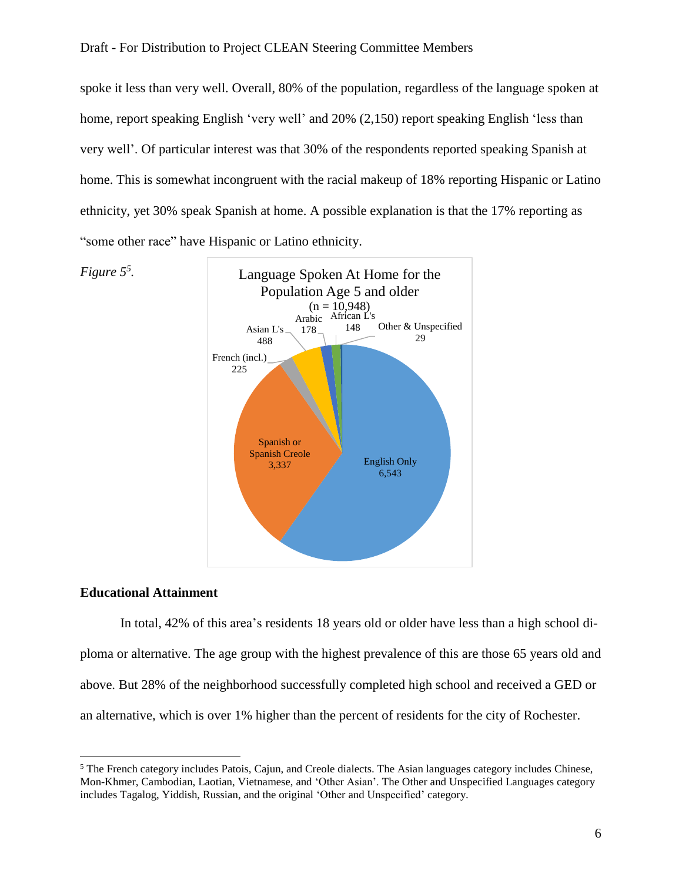spoke it less than very well. Overall, 80% of the population, regardless of the language spoken at home, report speaking English 'very well' and 20% (2,150) report speaking English 'less than very well'. Of particular interest was that 30% of the respondents reported speaking Spanish at home. This is somewhat incongruent with the racial makeup of 18% reporting Hispanic or Latino ethnicity, yet 30% speak Spanish at home. A possible explanation is that the 17% reporting as "some other race" have Hispanic or Latino ethnicity.



#### **Educational Attainment**

 $\overline{a}$ 

In total, 42% of this area's residents 18 years old or older have less than a high school diploma or alternative. The age group with the highest prevalence of this are those 65 years old and above. But 28% of the neighborhood successfully completed high school and received a GED or an alternative, which is over 1% higher than the percent of residents for the city of Rochester.

<sup>5</sup> The French category includes Patois, Cajun, and Creole dialects. The Asian languages category includes Chinese, Mon-Khmer, Cambodian, Laotian, Vietnamese, and 'Other Asian'. The Other and Unspecified Languages category includes Tagalog, Yiddish, Russian, and the original 'Other and Unspecified' category.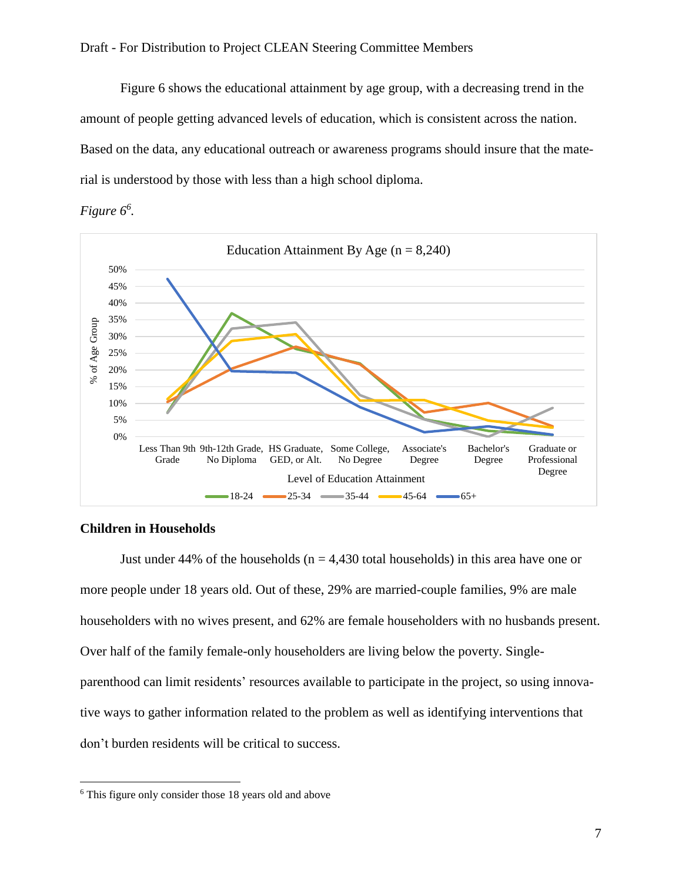Figure 6 shows the educational attainment by age group, with a decreasing trend in the amount of people getting advanced levels of education, which is consistent across the nation. Based on the data, any educational outreach or awareness programs should insure that the material is understood by those with less than a high school diploma.





## **Children in Households**

 $\overline{a}$ 

Just under 44% of the households ( $n = 4,430$  total households) in this area have one or more people under 18 years old. Out of these, 29% are married-couple families, 9% are male householders with no wives present, and 62% are female householders with no husbands present. Over half of the family female-only householders are living below the poverty. Singleparenthood can limit residents' resources available to participate in the project, so using innovative ways to gather information related to the problem as well as identifying interventions that don't burden residents will be critical to success.

<sup>6</sup> This figure only consider those 18 years old and above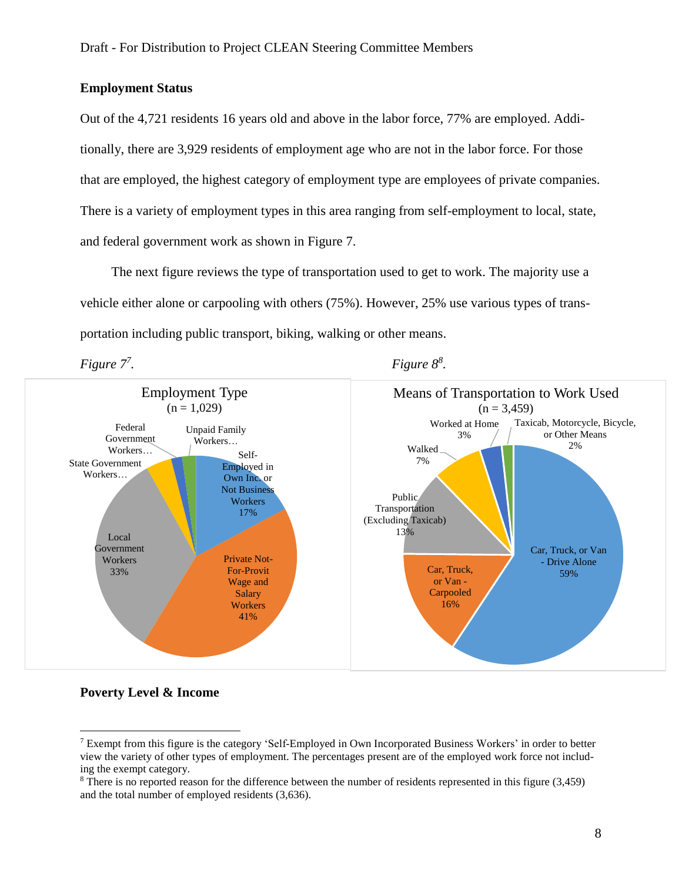#### **Employment Status**

Out of the 4,721 residents 16 years old and above in the labor force, 77% are employed. Additionally, there are 3,929 residents of employment age who are not in the labor force. For those that are employed, the highest category of employment type are employees of private companies. There is a variety of employment types in this area ranging from self-employment to local, state, and federal government work as shown in Figure 7.

The next figure reviews the type of transportation used to get to work. The majority use a vehicle either alone or carpooling with others (75%). However, 25% use various types of transportation including public transport, biking, walking or other means.



# *Figure*  $8^8$ *.*



#### **Poverty Level & Income**

 $\overline{a}$ 

<sup>7</sup> Exempt from this figure is the category 'Self-Employed in Own Incorporated Business Workers' in order to better view the variety of other types of employment. The percentages present are of the employed work force not including the exempt category.

<sup>8</sup> There is no reported reason for the difference between the number of residents represented in this figure (3,459) and the total number of employed residents (3,636).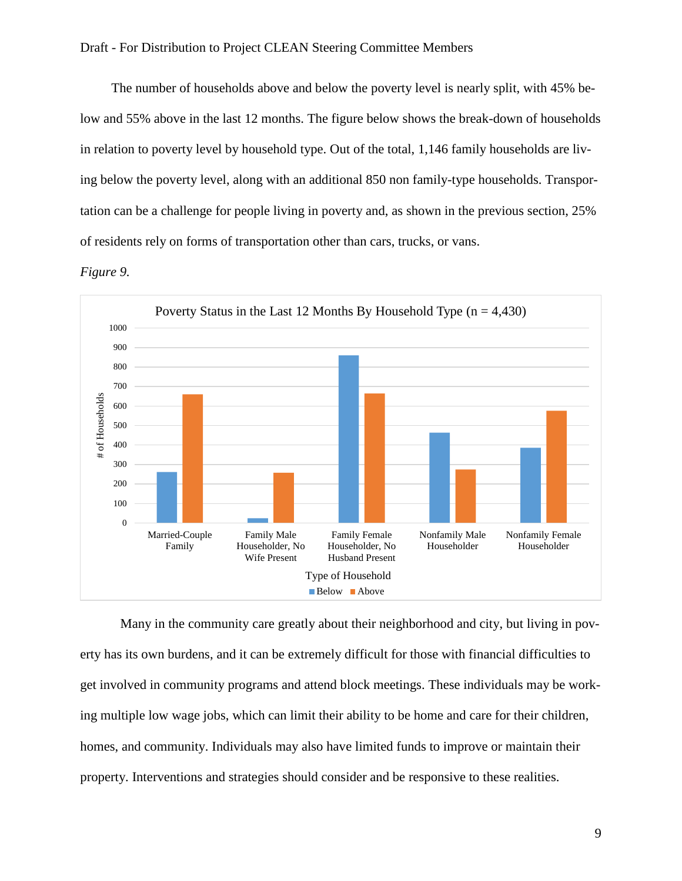The number of households above and below the poverty level is nearly split, with 45% below and 55% above in the last 12 months. The figure below shows the break-down of households in relation to poverty level by household type. Out of the total, 1,146 family households are living below the poverty level, along with an additional 850 non family-type households. Transportation can be a challenge for people living in poverty and, as shown in the previous section, 25% of residents rely on forms of transportation other than cars, trucks, or vans.





Many in the community care greatly about their neighborhood and city, but living in poverty has its own burdens, and it can be extremely difficult for those with financial difficulties to get involved in community programs and attend block meetings. These individuals may be working multiple low wage jobs, which can limit their ability to be home and care for their children, homes, and community. Individuals may also have limited funds to improve or maintain their property. Interventions and strategies should consider and be responsive to these realities.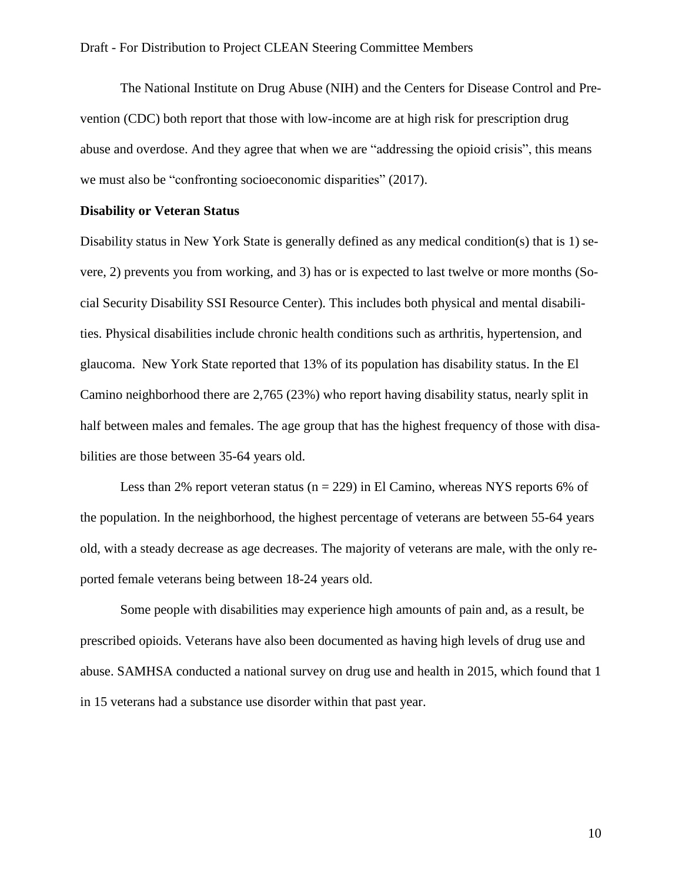The National Institute on Drug Abuse (NIH) and the Centers for Disease Control and Prevention (CDC) both report that those with low-income are at high risk for prescription drug abuse and overdose. And they agree that when we are "addressing the opioid crisis", this means we must also be "confronting socioeconomic disparities" (2017).

#### **Disability or Veteran Status**

Disability status in New York State is generally defined as any medical condition(s) that is 1) severe, 2) prevents you from working, and 3) has or is expected to last twelve or more months (Social Security Disability SSI Resource Center). This includes both physical and mental disabilities. Physical disabilities include chronic health conditions such as arthritis, hypertension, and glaucoma. New York State reported that 13% of its population has disability status. In the El Camino neighborhood there are 2,765 (23%) who report having disability status, nearly split in half between males and females. The age group that has the highest frequency of those with disabilities are those between 35-64 years old.

Less than 2% report veteran status ( $n = 229$ ) in El Camino, whereas NYS reports 6% of the population. In the neighborhood, the highest percentage of veterans are between 55-64 years old, with a steady decrease as age decreases. The majority of veterans are male, with the only reported female veterans being between 18-24 years old.

Some people with disabilities may experience high amounts of pain and, as a result, be prescribed opioids. Veterans have also been documented as having high levels of drug use and abuse. SAMHSA conducted a national survey on drug use and health in 2015, which found that 1 in 15 veterans had a substance use disorder within that past year.

10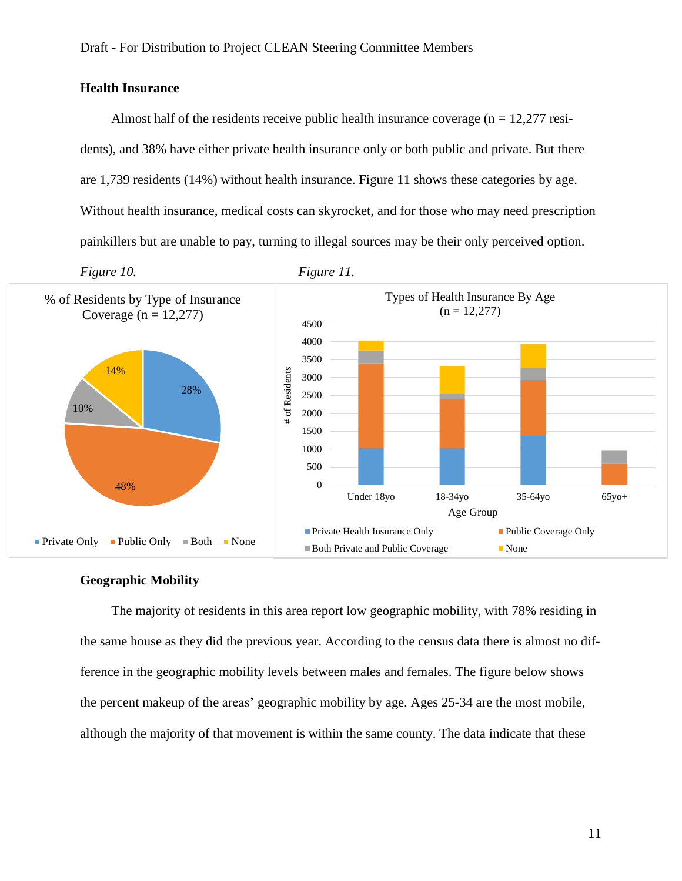### **Health Insurance**

Almost half of the residents receive public health insurance coverage ( $n = 12,277$  residents), and 38% have either private health insurance only or both public and private. But there are 1,739 residents (14%) without health insurance. Figure 11 shows these categories by age. Without health insurance, medical costs can skyrocket, and for those who may need prescription painkillers but are unable to pay, turning to illegal sources may be their only perceived option.



#### **Geographic Mobility**

The majority of residents in this area report low geographic mobility, with 78% residing in the same house as they did the previous year. According to the census data there is almost no difference in the geographic mobility levels between males and females. The figure below shows the percent makeup of the areas' geographic mobility by age. Ages 25-34 are the most mobile, although the majority of that movement is within the same county. The data indicate that these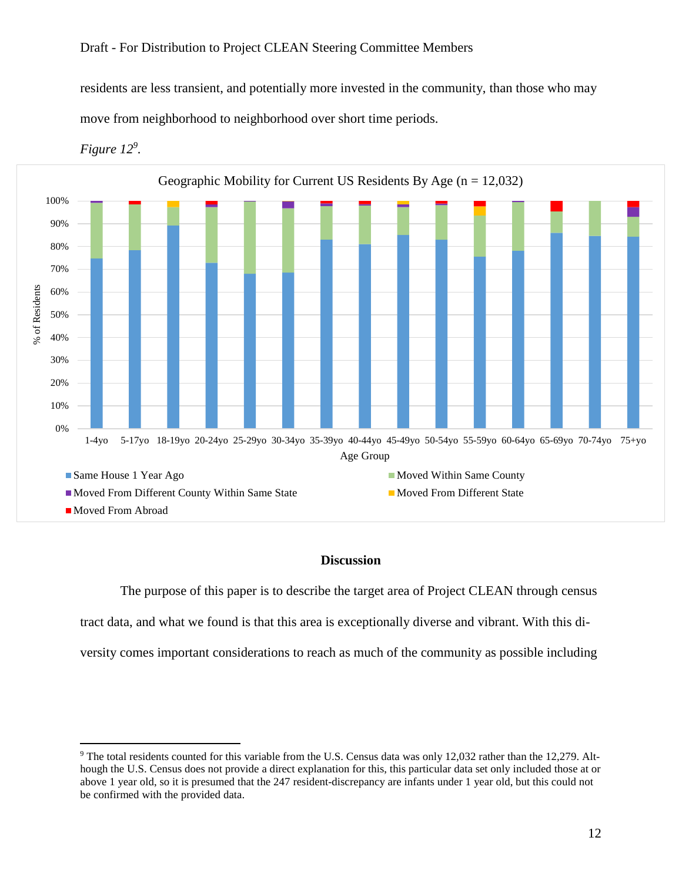residents are less transient, and potentially more invested in the community, than those who may move from neighborhood to neighborhood over short time periods.



*Figure 12<sup>9</sup> .*

 $\overline{a}$ 

#### **Discussion**

The purpose of this paper is to describe the target area of Project CLEAN through census

tract data, and what we found is that this area is exceptionally diverse and vibrant. With this di-

versity comes important considerations to reach as much of the community as possible including

<sup>9</sup> The total residents counted for this variable from the U.S. Census data was only 12,032 rather than the 12,279. Although the U.S. Census does not provide a direct explanation for this, this particular data set only included those at or above 1 year old, so it is presumed that the 247 resident-discrepancy are infants under 1 year old, but this could not be confirmed with the provided data.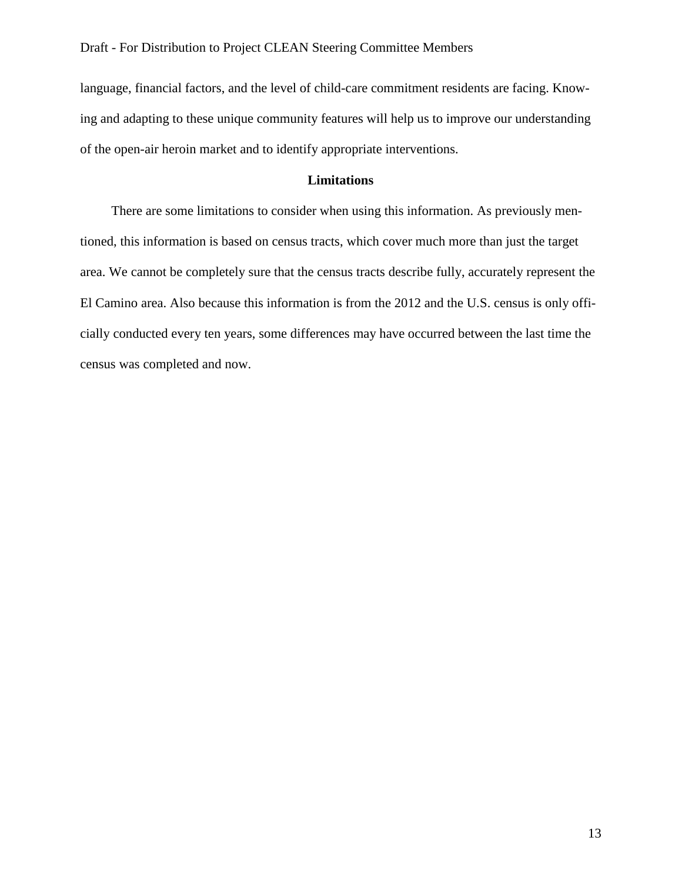language, financial factors, and the level of child-care commitment residents are facing. Knowing and adapting to these unique community features will help us to improve our understanding of the open-air heroin market and to identify appropriate interventions.

# **Limitations**

There are some limitations to consider when using this information. As previously mentioned, this information is based on census tracts, which cover much more than just the target area. We cannot be completely sure that the census tracts describe fully, accurately represent the El Camino area. Also because this information is from the 2012 and the U.S. census is only officially conducted every ten years, some differences may have occurred between the last time the census was completed and now.